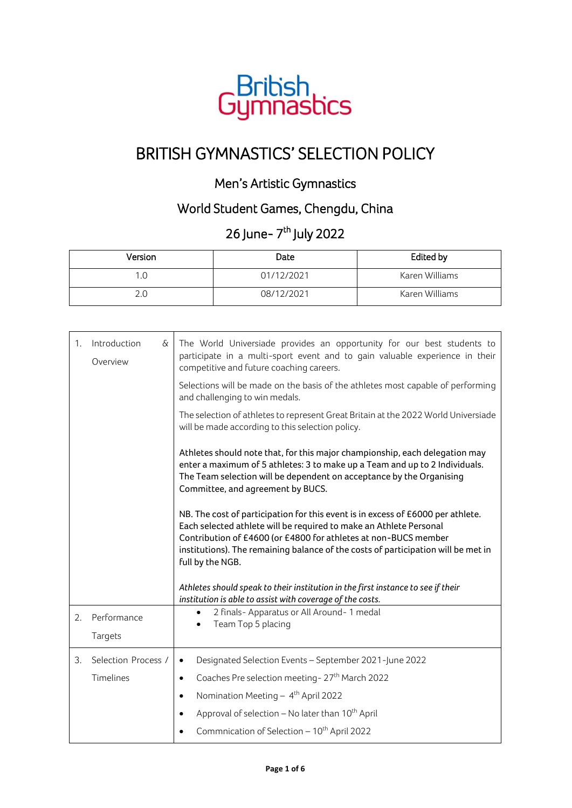

## BRITISH GYMNASTICS' SELECTION POLICY

## Men's Artistic Gymnastics

## World Student Games, Chengdu, China

## 26 June- 7<sup>th</sup> July 2022

| Version | Date       | Edited by      |
|---------|------------|----------------|
| 1.0     | 01/12/2021 | Karen Williams |
| 2.0     | 08/12/2021 | Karen Williams |

| 1. | Introduction<br>$\delta$<br>Overview | The World Universiade provides an opportunity for our best students to<br>participate in a multi-sport event and to gain valuable experience in their<br>competitive and future coaching careers.                                                                                                                                 |
|----|--------------------------------------|-----------------------------------------------------------------------------------------------------------------------------------------------------------------------------------------------------------------------------------------------------------------------------------------------------------------------------------|
|    |                                      | Selections will be made on the basis of the athletes most capable of performing<br>and challenging to win medals.                                                                                                                                                                                                                 |
|    |                                      | The selection of athletes to represent Great Britain at the 2022 World Universiade<br>will be made according to this selection policy.                                                                                                                                                                                            |
|    |                                      | Athletes should note that, for this major championship, each delegation may<br>enter a maximum of 5 athletes: 3 to make up a Team and up to 2 Individuals.<br>The Team selection will be dependent on acceptance by the Organising<br>Committee, and agreement by BUCS.                                                           |
|    |                                      | NB. The cost of participation for this event is in excess of £6000 per athlete.<br>Each selected athlete will be required to make an Athlete Personal<br>Contribution of £4600 (or £4800 for athletes at non-BUCS member<br>institutions). The remaining balance of the costs of participation will be met in<br>full by the NGB. |
|    |                                      | Athletes should speak to their institution in the first instance to see if their<br>institution is able to assist with coverage of the costs.                                                                                                                                                                                     |
| 2. | Performance<br>Targets               | 2 finals- Apparatus or All Around- 1 medal<br>Team Top 5 placing                                                                                                                                                                                                                                                                  |
| 3. | Selection Process /                  | Designated Selection Events - September 2021-June 2022<br>$\bullet$                                                                                                                                                                                                                                                               |
|    | Timelines                            | Coaches Pre selection meeting-27 <sup>th</sup> March 2022<br>$\bullet$                                                                                                                                                                                                                                                            |
|    |                                      | Nomination Meeting - 4 <sup>th</sup> April 2022<br>$\bullet$                                                                                                                                                                                                                                                                      |
|    |                                      | Approval of selection - No later than 10 <sup>th</sup> April<br>$\bullet$                                                                                                                                                                                                                                                         |
|    |                                      | Commnication of Selection - 10 <sup>th</sup> April 2022                                                                                                                                                                                                                                                                           |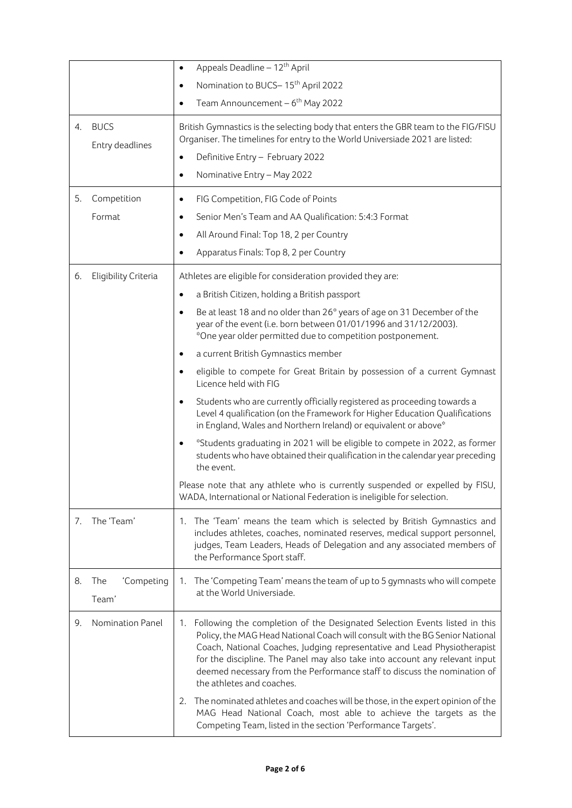|    |                                | Appeals Deadline - 12 <sup>th</sup> April<br>٠                                                                                                                                                                                                                                                                                                                                                                                                                                                                                                                                                   |
|----|--------------------------------|--------------------------------------------------------------------------------------------------------------------------------------------------------------------------------------------------------------------------------------------------------------------------------------------------------------------------------------------------------------------------------------------------------------------------------------------------------------------------------------------------------------------------------------------------------------------------------------------------|
|    |                                | Nomination to BUCS-15 <sup>th</sup> April 2022<br>٠                                                                                                                                                                                                                                                                                                                                                                                                                                                                                                                                              |
|    |                                | Team Announcement $-6$ <sup>th</sup> May 2022<br>$\bullet$                                                                                                                                                                                                                                                                                                                                                                                                                                                                                                                                       |
| 4. | <b>BUCS</b><br>Entry deadlines | British Gymnastics is the selecting body that enters the GBR team to the FIG/FISU<br>Organiser. The timelines for entry to the World Universiade 2021 are listed:                                                                                                                                                                                                                                                                                                                                                                                                                                |
|    |                                | Definitive Entry - February 2022                                                                                                                                                                                                                                                                                                                                                                                                                                                                                                                                                                 |
|    |                                | Nominative Entry - May 2022<br>$\bullet$                                                                                                                                                                                                                                                                                                                                                                                                                                                                                                                                                         |
| 5. | Competition                    | FIG Competition, FIG Code of Points<br>$\bullet$                                                                                                                                                                                                                                                                                                                                                                                                                                                                                                                                                 |
|    | Format                         | Senior Men's Team and AA Qualification: 5:4:3 Format<br>٠                                                                                                                                                                                                                                                                                                                                                                                                                                                                                                                                        |
|    |                                | All Around Final: Top 18, 2 per Country<br>$\bullet$                                                                                                                                                                                                                                                                                                                                                                                                                                                                                                                                             |
|    |                                | Apparatus Finals: Top 8, 2 per Country                                                                                                                                                                                                                                                                                                                                                                                                                                                                                                                                                           |
| 6. | Eligibility Criteria           | Athletes are eligible for consideration provided they are:                                                                                                                                                                                                                                                                                                                                                                                                                                                                                                                                       |
|    |                                | a British Citizen, holding a British passport<br>٠                                                                                                                                                                                                                                                                                                                                                                                                                                                                                                                                               |
|    |                                | Be at least 18 and no older than 26* years of age on 31 December of the<br>year of the event (i.e. born between 01/01/1996 and 31/12/2003).<br>*One year older permitted due to competition postponement.                                                                                                                                                                                                                                                                                                                                                                                        |
|    |                                | a current British Gymnastics member<br>٠                                                                                                                                                                                                                                                                                                                                                                                                                                                                                                                                                         |
|    |                                | eligible to compete for Great Britain by possession of a current Gymnast<br>٠<br>Licence held with FIG                                                                                                                                                                                                                                                                                                                                                                                                                                                                                           |
|    |                                | Students who are currently officially registered as proceeding towards a<br>$\bullet$<br>Level 4 qualification (on the Framework for Higher Education Qualifications<br>in England, Wales and Northern Ireland) or equivalent or above*                                                                                                                                                                                                                                                                                                                                                          |
|    |                                | *Students graduating in 2021 will be eligible to compete in 2022, as former<br>students who have obtained their qualification in the calendar year preceding<br>the event.                                                                                                                                                                                                                                                                                                                                                                                                                       |
|    |                                | Please note that any athlete who is currently suspended or expelled by FISU,<br>WADA, International or National Federation is ineligible for selection.                                                                                                                                                                                                                                                                                                                                                                                                                                          |
| 7. | The 'Team'                     | The 'Team' means the team which is selected by British Gymnastics and<br>1.<br>includes athletes, coaches, nominated reserves, medical support personnel,<br>judges, Team Leaders, Heads of Delegation and any associated members of<br>the Performance Sport staff.                                                                                                                                                                                                                                                                                                                             |
| 8. | 'Competing<br>The<br>Team'     | The 'Competing Team' means the team of up to 5 gymnasts who will compete<br>1.<br>at the World Universiade.                                                                                                                                                                                                                                                                                                                                                                                                                                                                                      |
| 9. | Nomination Panel               | Following the completion of the Designated Selection Events listed in this<br>1.<br>Policy, the MAG Head National Coach will consult with the BG Senior National<br>Coach, National Coaches, Judging representative and Lead Physiotherapist<br>for the discipline. The Panel may also take into account any relevant input<br>deemed necessary from the Performance staff to discuss the nomination of<br>the athletes and coaches.<br>The nominated athletes and coaches will be those, in the expert opinion of the<br>2.<br>MAG Head National Coach, most able to achieve the targets as the |
|    |                                | Competing Team, listed in the section 'Performance Targets'.                                                                                                                                                                                                                                                                                                                                                                                                                                                                                                                                     |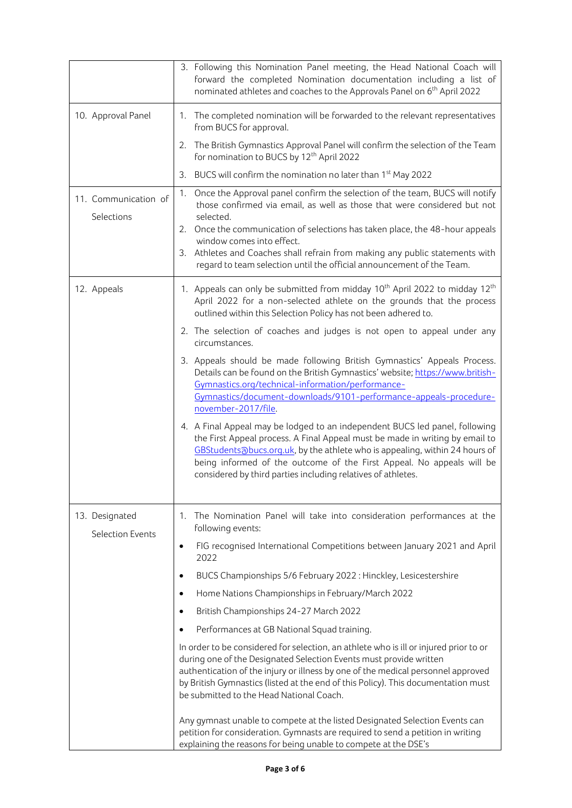|                                    | 3. Following this Nomination Panel meeting, the Head National Coach will<br>forward the completed Nomination documentation including a list of<br>nominated athletes and coaches to the Approvals Panel on 6 <sup>th</sup> April 2022                                                                                                                                               |
|------------------------------------|-------------------------------------------------------------------------------------------------------------------------------------------------------------------------------------------------------------------------------------------------------------------------------------------------------------------------------------------------------------------------------------|
| 10. Approval Panel                 | 1. The completed nomination will be forwarded to the relevant representatives<br>from BUCS for approval.                                                                                                                                                                                                                                                                            |
|                                    | 2. The British Gymnastics Approval Panel will confirm the selection of the Team<br>for nomination to BUCS by 12 <sup>th</sup> April 2022                                                                                                                                                                                                                                            |
|                                    | BUCS will confirm the nomination no later than 1 <sup>st</sup> May 2022<br>3.                                                                                                                                                                                                                                                                                                       |
| 11. Communication of<br>Selections | Once the Approval panel confirm the selection of the team, BUCS will notify<br>1.<br>those confirmed via email, as well as those that were considered but not<br>selected.                                                                                                                                                                                                          |
|                                    | 2. Once the communication of selections has taken place, the 48-hour appeals                                                                                                                                                                                                                                                                                                        |
|                                    | window comes into effect.<br>3. Athletes and Coaches shall refrain from making any public statements with<br>regard to team selection until the official announcement of the Team.                                                                                                                                                                                                  |
| 12. Appeals                        | 1. Appeals can only be submitted from midday 10 <sup>th</sup> April 2022 to midday 12 <sup>th</sup><br>April 2022 for a non-selected athlete on the grounds that the process<br>outlined within this Selection Policy has not been adhered to.                                                                                                                                      |
|                                    | 2. The selection of coaches and judges is not open to appeal under any<br>circumstances.                                                                                                                                                                                                                                                                                            |
|                                    | 3. Appeals should be made following British Gymnastics' Appeals Process.<br>Details can be found on the British Gymnastics' website; https://www.british-<br>Gymnastics.org/technical-information/performance-<br>Gymnastics/document-downloads/9101-performance-appeals-procedure-<br>november-2017/file.                                                                          |
|                                    | 4. A Final Appeal may be lodged to an independent BUCS led panel, following<br>the First Appeal process. A Final Appeal must be made in writing by email to<br>GBStudentsabucs.org.uk, by the athlete who is appealing, within 24 hours of<br>being informed of the outcome of the First Appeal. No appeals will be<br>considered by third parties including relatives of athletes. |
| 13. Designated<br>Selection Events | The Nomination Panel will take into consideration performances at the<br>1.<br>following events:                                                                                                                                                                                                                                                                                    |
|                                    | FIG recognised International Competitions between January 2021 and April<br>$\bullet$<br>2022                                                                                                                                                                                                                                                                                       |
|                                    | BUCS Championships 5/6 February 2022 : Hinckley, Lesicestershire<br>٠                                                                                                                                                                                                                                                                                                               |
|                                    | Home Nations Championships in February/March 2022<br>$\bullet$                                                                                                                                                                                                                                                                                                                      |
|                                    | British Championships 24-27 March 2022<br>$\bullet$                                                                                                                                                                                                                                                                                                                                 |
|                                    | Performances at GB National Squad training.                                                                                                                                                                                                                                                                                                                                         |
|                                    | In order to be considered for selection, an athlete who is ill or injured prior to or<br>during one of the Designated Selection Events must provide written<br>authentication of the injury or illness by one of the medical personnel approved<br>by British Gymnastics (listed at the end of this Policy). This documentation must<br>be submitted to the Head National Coach.    |
|                                    | Any gymnast unable to compete at the listed Designated Selection Events can<br>petition for consideration. Gymnasts are required to send a petition in writing<br>explaining the reasons for being unable to compete at the DSE's                                                                                                                                                   |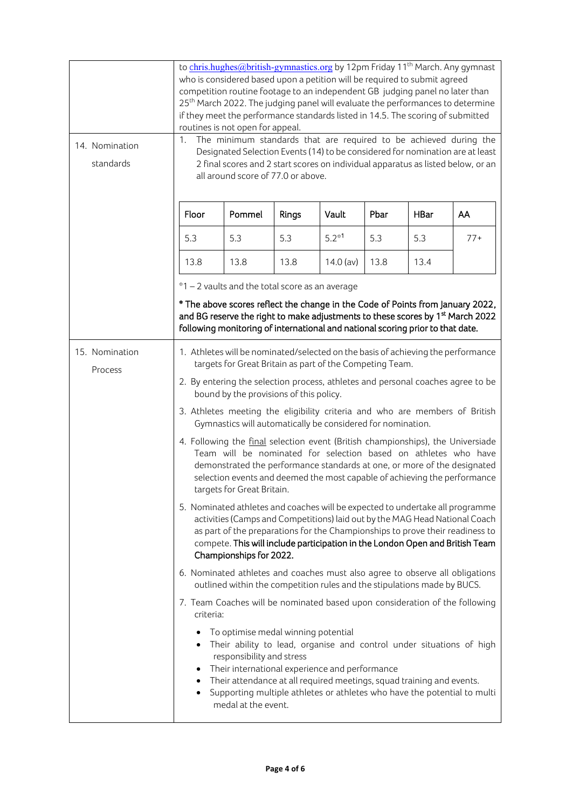| 14. Nomination                                                                                                                                                                                                                                                                                                                                                                                | to chris.hughes@british-gymnastics.org by 12pm Friday 11 <sup>th</sup> March. Any gymnast<br>who is considered based upon a petition will be required to submit agreed<br>competition routine footage to an independent GB judging panel no later than<br>25 <sup>th</sup> March 2022. The judging panel will evaluate the performances to determine<br>if they meet the performance standards listed in 14.5. The scoring of submitted<br>routines is not open for appeal.<br>The minimum standards that are required to be achieved during the<br>1. |                                                                                                                                                          |                                                                                                                                                                                                                                                                                                             |             |      |             |                                                                                                                                                                              |
|-----------------------------------------------------------------------------------------------------------------------------------------------------------------------------------------------------------------------------------------------------------------------------------------------------------------------------------------------------------------------------------------------|--------------------------------------------------------------------------------------------------------------------------------------------------------------------------------------------------------------------------------------------------------------------------------------------------------------------------------------------------------------------------------------------------------------------------------------------------------------------------------------------------------------------------------------------------------|----------------------------------------------------------------------------------------------------------------------------------------------------------|-------------------------------------------------------------------------------------------------------------------------------------------------------------------------------------------------------------------------------------------------------------------------------------------------------------|-------------|------|-------------|------------------------------------------------------------------------------------------------------------------------------------------------------------------------------|
| standards                                                                                                                                                                                                                                                                                                                                                                                     | Designated Selection Events (14) to be considered for nomination are at least<br>2 final scores and 2 start scores on individual apparatus as listed below, or an<br>all around score of 77.0 or above.                                                                                                                                                                                                                                                                                                                                                |                                                                                                                                                          |                                                                                                                                                                                                                                                                                                             |             |      |             |                                                                                                                                                                              |
|                                                                                                                                                                                                                                                                                                                                                                                               | Floor                                                                                                                                                                                                                                                                                                                                                                                                                                                                                                                                                  | Pommel                                                                                                                                                   | Rings                                                                                                                                                                                                                                                                                                       | Vault       | Pbar | <b>HBar</b> | AA                                                                                                                                                                           |
|                                                                                                                                                                                                                                                                                                                                                                                               | 5.3                                                                                                                                                                                                                                                                                                                                                                                                                                                                                                                                                    | 5.3                                                                                                                                                      | 5.3                                                                                                                                                                                                                                                                                                         | $5.2*1$     | 5.3  | 5.3         | $77+$                                                                                                                                                                        |
|                                                                                                                                                                                                                                                                                                                                                                                               | 13.8                                                                                                                                                                                                                                                                                                                                                                                                                                                                                                                                                   | 13.8                                                                                                                                                     | 13.8                                                                                                                                                                                                                                                                                                        | $14.0$ (av) | 13.8 | 13.4        |                                                                                                                                                                              |
|                                                                                                                                                                                                                                                                                                                                                                                               |                                                                                                                                                                                                                                                                                                                                                                                                                                                                                                                                                        | *1 - 2 vaults and the total score as an average<br>following monitoring of international and national scoring prior to that date.                        |                                                                                                                                                                                                                                                                                                             |             |      |             | * The above scores reflect the change in the Code of Points from January 2022,<br>and BG reserve the right to make adjustments to these scores by 1 <sup>st</sup> March 2022 |
| 15. Nomination<br>Process                                                                                                                                                                                                                                                                                                                                                                     | 1. Athletes will be nominated/selected on the basis of achieving the performance<br>targets for Great Britain as part of the Competing Team.                                                                                                                                                                                                                                                                                                                                                                                                           |                                                                                                                                                          |                                                                                                                                                                                                                                                                                                             |             |      |             |                                                                                                                                                                              |
|                                                                                                                                                                                                                                                                                                                                                                                               | 2. By entering the selection process, athletes and personal coaches agree to be<br>bound by the provisions of this policy.                                                                                                                                                                                                                                                                                                                                                                                                                             |                                                                                                                                                          |                                                                                                                                                                                                                                                                                                             |             |      |             |                                                                                                                                                                              |
|                                                                                                                                                                                                                                                                                                                                                                                               | 3. Athletes meeting the eligibility criteria and who are members of British<br>Gymnastics will automatically be considered for nomination.                                                                                                                                                                                                                                                                                                                                                                                                             |                                                                                                                                                          |                                                                                                                                                                                                                                                                                                             |             |      |             |                                                                                                                                                                              |
| targets for Great Britain.<br>5. Nominated athletes and coaches will be expected to undertake all programme<br>activities (Camps and Competitions) laid out by the MAG Head National Coach<br>as part of the preparations for the Championships to prove their readiness to<br>compete. This will include participation in the London Open and British Team<br>Championships for 2022.        |                                                                                                                                                                                                                                                                                                                                                                                                                                                                                                                                                        |                                                                                                                                                          | 4. Following the final selection event (British championships), the Universiade<br>Team will be nominated for selection based on athletes who have<br>demonstrated the performance standards at one, or more of the designated<br>selection events and deemed the most capable of achieving the performance |             |      |             |                                                                                                                                                                              |
|                                                                                                                                                                                                                                                                                                                                                                                               |                                                                                                                                                                                                                                                                                                                                                                                                                                                                                                                                                        |                                                                                                                                                          |                                                                                                                                                                                                                                                                                                             |             |      |             |                                                                                                                                                                              |
|                                                                                                                                                                                                                                                                                                                                                                                               |                                                                                                                                                                                                                                                                                                                                                                                                                                                                                                                                                        | 6. Nominated athletes and coaches must also agree to observe all obligations<br>outlined within the competition rules and the stipulations made by BUCS. |                                                                                                                                                                                                                                                                                                             |             |      |             |                                                                                                                                                                              |
|                                                                                                                                                                                                                                                                                                                                                                                               | criteria:                                                                                                                                                                                                                                                                                                                                                                                                                                                                                                                                              |                                                                                                                                                          |                                                                                                                                                                                                                                                                                                             |             |      |             | 7. Team Coaches will be nominated based upon consideration of the following                                                                                                  |
| To optimise medal winning potential<br>Their ability to lead, organise and control under situations of high<br>responsibility and stress<br>Their international experience and performance<br>٠<br>Their attendance at all required meetings, squad training and events.<br>٠<br>Supporting multiple athletes or athletes who have the potential to multi<br>$\bullet$<br>medal at the event. |                                                                                                                                                                                                                                                                                                                                                                                                                                                                                                                                                        |                                                                                                                                                          |                                                                                                                                                                                                                                                                                                             |             |      |             |                                                                                                                                                                              |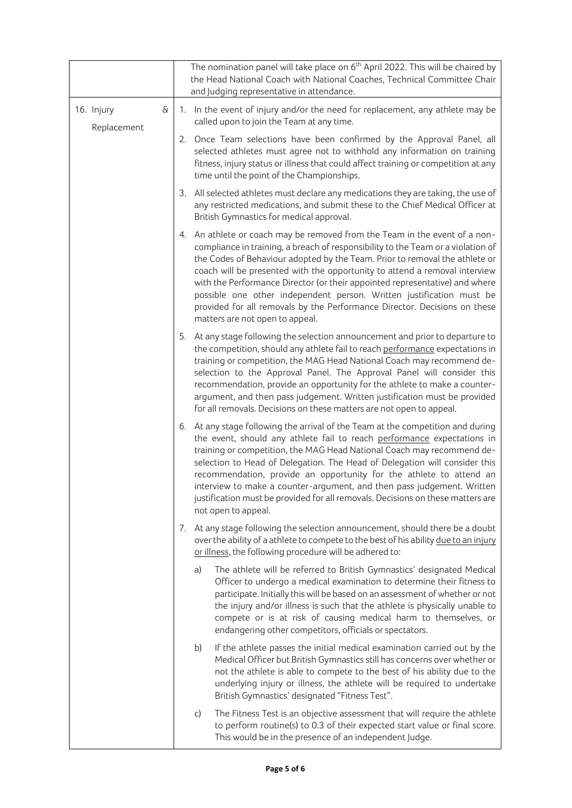|                                         |  |    | The nomination panel will take place on $6th$ April 2022. This will be chaired by<br>the Head National Coach with National Coaches, Technical Committee Chair<br>and Judging representative in attendance.                                                                                                                                                                                                                                                                                                                                                                                         |
|-----------------------------------------|--|----|----------------------------------------------------------------------------------------------------------------------------------------------------------------------------------------------------------------------------------------------------------------------------------------------------------------------------------------------------------------------------------------------------------------------------------------------------------------------------------------------------------------------------------------------------------------------------------------------------|
| $\delta\!$<br>16. Injury<br>Replacement |  |    | 1. In the event of injury and/or the need for replacement, any athlete may be<br>called upon to join the Team at any time.                                                                                                                                                                                                                                                                                                                                                                                                                                                                         |
|                                         |  |    | 2. Once Team selections have been confirmed by the Approval Panel, all<br>selected athletes must agree not to withhold any information on training<br>fitness, injury status or illness that could affect training or competition at any<br>time until the point of the Championships.                                                                                                                                                                                                                                                                                                             |
|                                         |  |    | 3. All selected athletes must declare any medications they are taking, the use of<br>any restricted medications, and submit these to the Chief Medical Officer at<br>British Gymnastics for medical approval.                                                                                                                                                                                                                                                                                                                                                                                      |
|                                         |  |    | 4. An athlete or coach may be removed from the Team in the event of a non-<br>compliance in training, a breach of responsibility to the Team or a violation of<br>the Codes of Behaviour adopted by the Team. Prior to removal the athlete or<br>coach will be presented with the opportunity to attend a removal interview<br>with the Performance Director (or their appointed representative) and where<br>possible one other independent person. Written justification must be<br>provided for all removals by the Performance Director. Decisions on these<br>matters are not open to appeal. |
|                                         |  |    | 5. At any stage following the selection announcement and prior to departure to<br>the competition, should any athlete fail to reach performance expectations in<br>training or competition, the MAG Head National Coach may recommend de-<br>selection to the Approval Panel. The Approval Panel will consider this<br>recommendation, provide an opportunity for the athlete to make a counter-<br>argument, and then pass judgement. Written justification must be provided<br>for all removals. Decisions on these matters are not open to appeal.                                              |
|                                         |  |    | 6. At any stage following the arrival of the Team at the competition and during<br>the event, should any athlete fail to reach performance expectations in<br>training or competition, the MAG Head National Coach may recommend de-<br>selection to Head of Delegation. The Head of Delegation will consider this<br>recommendation, provide an opportunity for the athlete to attend an<br>interview to make a counter-argument, and then pass judgement. Written<br>justification must be provided for all removals. Decisions on these matters are<br>not open to appeal.                      |
|                                         |  |    | 7. At any stage following the selection announcement, should there be a doubt<br>over the ability of a athlete to compete to the best of his ability due to an injury<br>or illness, the following procedure will be adhered to:                                                                                                                                                                                                                                                                                                                                                                   |
|                                         |  | a) | The athlete will be referred to British Gymnastics' designated Medical<br>Officer to undergo a medical examination to determine their fitness to<br>participate. Initially this will be based on an assessment of whether or not<br>the injury and/or illness is such that the athlete is physically unable to<br>compete or is at risk of causing medical harm to themselves, or<br>endangering other competitors, officials or spectators.                                                                                                                                                       |
|                                         |  | b) | If the athlete passes the initial medical examination carried out by the<br>Medical Officer but British Gymnastics still has concerns over whether or<br>not the athlete is able to compete to the best of his ability due to the<br>underlying injury or illness, the athlete will be required to undertake<br>British Gymnastics' designated "Fitness Test".                                                                                                                                                                                                                                     |
|                                         |  | C) | The Fitness Test is an objective assessment that will require the athlete<br>to perform routine(s) to 0.3 of their expected start value or final score.<br>This would be in the presence of an independent Judge.                                                                                                                                                                                                                                                                                                                                                                                  |